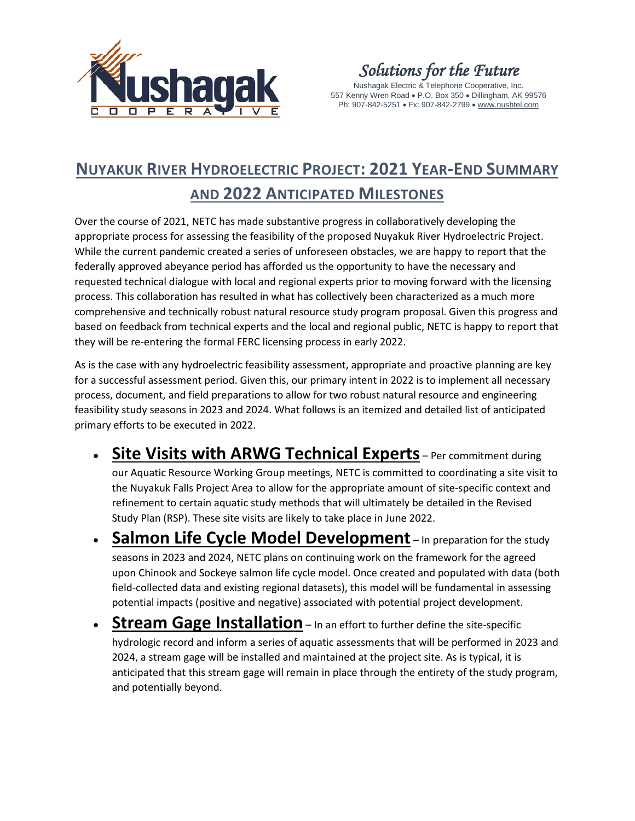

*Solutions for the Future*

Nushagak Electric & Telephone Cooperative, Inc. 557 Kenny Wren Road • P.O. Box 350 • Dillingham, AK 99576 Ph: 907-842-5251 • Fx: 907-842-2799 • [www.nushtel.com](http://www.nushtel.com/)

## **NUYAKUK RIVER HYDROELECTRIC PROJECT: 2021 YEAR-END SUMMARY AND 2022 ANTICIPATED MILESTONES**

Over the course of 2021, NETC has made substantive progress in collaboratively developing the appropriate process for assessing the feasibility of the proposed Nuyakuk River Hydroelectric Project. While the current pandemic created a series of unforeseen obstacles, we are happy to report that the federally approved abeyance period has afforded us the opportunity to have the necessary and requested technical dialogue with local and regional experts prior to moving forward with the licensing process. This collaboration has resulted in what has collectively been characterized as a much more comprehensive and technically robust natural resource study program proposal. Given this progress and based on feedback from technical experts and the local and regional public, NETC is happy to report that they will be re-entering the formal FERC licensing process in early 2022.

As is the case with any hydroelectric feasibility assessment, appropriate and proactive planning are key for a successful assessment period. Given this, our primary intent in 2022 is to implement all necessary process, document, and field preparations to allow for two robust natural resource and engineering feasibility study seasons in 2023 and 2024. What follows is an itemized and detailed list of anticipated primary efforts to be executed in 2022.

- **Site Visits with ARWG Technical Experts** Per commitment during our Aquatic Resource Working Group meetings, NETC is committed to coordinating a site visit to the Nuyakuk Falls Project Area to allow for the appropriate amount of site-specific context and refinement to certain aquatic study methods that will ultimately be detailed in the Revised Study Plan (RSP). These site visits are likely to take place in June 2022.
- **Salmon Life Cycle Model Development** In preparation for the study seasons in 2023 and 2024, NETC plans on continuing work on the framework for the agreed upon Chinook and Sockeye salmon life cycle model. Once created and populated with data (both field-collected data and existing regional datasets), this model will be fundamental in assessing potential impacts (positive and negative) associated with potential project development.
- **Stream Gage Installation** In an effort to further define the site-specific hydrologic record and inform a series of aquatic assessments that will be performed in 2023 and 2024, a stream gage will be installed and maintained at the project site. As is typical, it is anticipated that this stream gage will remain in place through the entirety of the study program, and potentially beyond.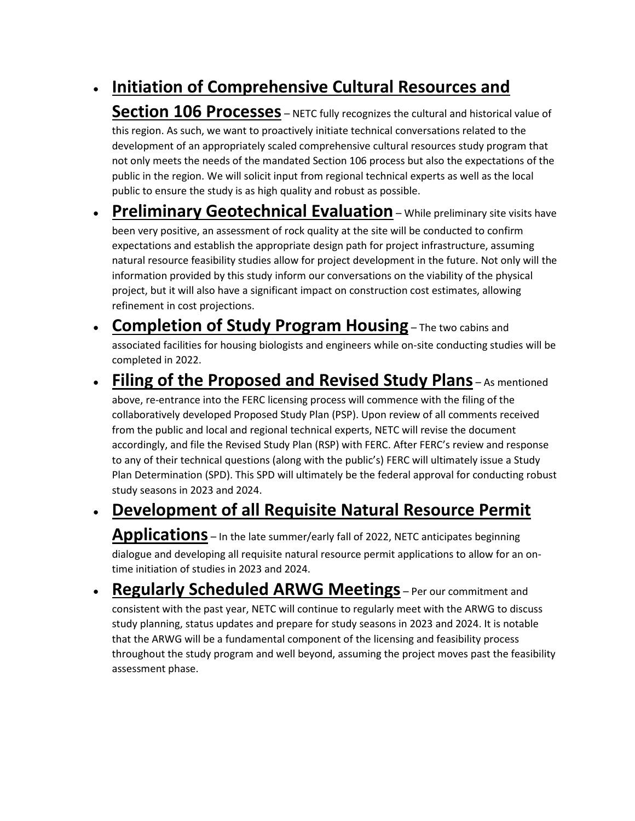## • **Initiation of Comprehensive Cultural Resources and**

**Section 106 Processes** – NETC fully recognizes the cultural and historical value of this region. As such, we want to proactively initiate technical conversations related to the development of an appropriately scaled comprehensive cultural resources study program that not only meets the needs of the mandated Section 106 process but also the expectations of the public in the region. We will solicit input from regional technical experts as well as the local public to ensure the study is as high quality and robust as possible.

- **Preliminary Geotechnical Evaluation** While preliminary site visits have been very positive, an assessment of rock quality at the site will be conducted to confirm expectations and establish the appropriate design path for project infrastructure, assuming natural resource feasibility studies allow for project development in the future. Not only will the information provided by this study inform our conversations on the viability of the physical project, but it will also have a significant impact on construction cost estimates, allowing refinement in cost projections.
- **Completion of Study Program Housing** The two cabins and associated facilities for housing biologists and engineers while on-site conducting studies will be completed in 2022.

## • **Filing of the Proposed and Revised Study Plans** – As mentioned

above, re-entrance into the FERC licensing process will commence with the filing of the collaboratively developed Proposed Study Plan (PSP). Upon review of all comments received from the public and local and regional technical experts, NETC will revise the document accordingly, and file the Revised Study Plan (RSP) with FERC. After FERC's review and response to any of their technical questions (along with the public's) FERC will ultimately issue a Study Plan Determination (SPD). This SPD will ultimately be the federal approval for conducting robust study seasons in 2023 and 2024.

## • **Development of all Requisite Natural Resource Permit**

**Applications** – In the late summer/early fall of 2022, NETC anticipates beginning dialogue and developing all requisite natural resource permit applications to allow for an ontime initiation of studies in 2023 and 2024.

• **Regularly Scheduled ARWG Meetings** – Per our commitment and consistent with the past year, NETC will continue to regularly meet with the ARWG to discuss study planning, status updates and prepare for study seasons in 2023 and 2024. It is notable that the ARWG will be a fundamental component of the licensing and feasibility process throughout the study program and well beyond, assuming the project moves past the feasibility assessment phase.